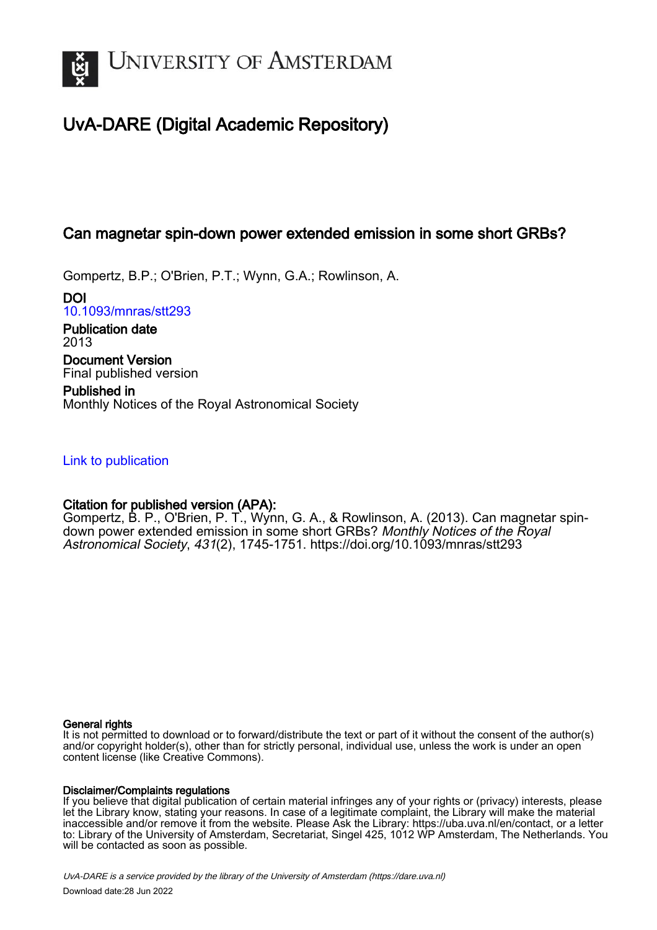

# UvA-DARE (Digital Academic Repository)

# Can magnetar spin-down power extended emission in some short GRBs?

Gompertz, B.P.; O'Brien, P.T.; Wynn, G.A.; Rowlinson, A.

DOI [10.1093/mnras/stt293](https://doi.org/10.1093/mnras/stt293)

Publication date 2013 Document Version

Final published version

Published in Monthly Notices of the Royal Astronomical Society

# [Link to publication](https://dare.uva.nl/personal/pure/en/publications/can-magnetar-spindown-power-extended-emission-in-some-short-grbs(d6bf7e17-6757-4071-a065-54df5e59083e).html)

# Citation for published version (APA):

Gompertz, B. P., O'Brien, P. T., Wynn, G. A., & Rowlinson, A. (2013). Can magnetar spindown power extended emission in some short GRBs? Monthly Notices of the Royal Astronomical Society, 431(2), 1745-1751. <https://doi.org/10.1093/mnras/stt293>

## General rights

It is not permitted to download or to forward/distribute the text or part of it without the consent of the author(s) and/or copyright holder(s), other than for strictly personal, individual use, unless the work is under an open content license (like Creative Commons).

# Disclaimer/Complaints regulations

If you believe that digital publication of certain material infringes any of your rights or (privacy) interests, please let the Library know, stating your reasons. In case of a legitimate complaint, the Library will make the material inaccessible and/or remove it from the website. Please Ask the Library: https://uba.uva.nl/en/contact, or a letter to: Library of the University of Amsterdam, Secretariat, Singel 425, 1012 WP Amsterdam, The Netherlands. You will be contacted as soon as possible.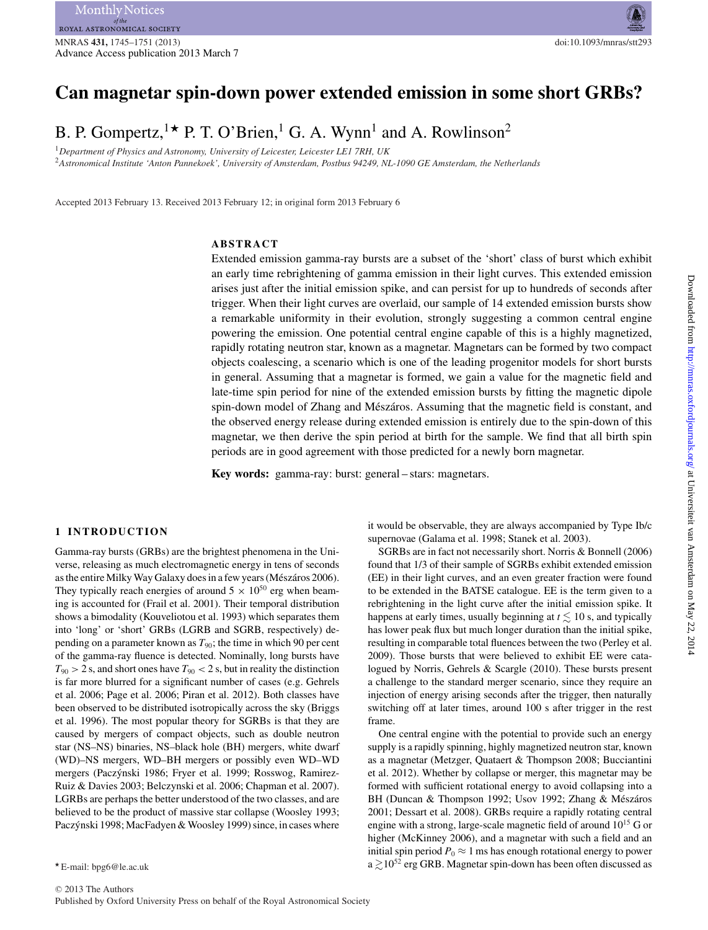# **Can magnetar spin-down power extended emission in some short GRBs?**

B. P. Gompertz, <sup>1</sup>  $\star$  P. T. O'Brien,<sup>1</sup> G. A. Wynn<sup>1</sup> and A. Rowlinson<sup>2</sup>

<sup>1</sup>*Department of Physics and Astronomy, University of Leicester, Leicester LE1 7RH, UK* <sup>2</sup>*Astronomical Institute 'Anton Pannekoek', University of Amsterdam, Postbus 94249, NL-1090 GE Amsterdam, the Netherlands*

Accepted 2013 February 13. Received 2013 February 12; in original form 2013 February 6

#### **ABSTRACT**

Extended emission gamma-ray bursts are a subset of the 'short' class of burst which exhibit an early time rebrightening of gamma emission in their light curves. This extended emission arises just after the initial emission spike, and can persist for up to hundreds of seconds after trigger. When their light curves are overlaid, our sample of 14 extended emission bursts show a remarkable uniformity in their evolution, strongly suggesting a common central engine powering the emission. One potential central engine capable of this is a highly magnetized, rapidly rotating neutron star, known as a magnetar. Magnetars can be formed by two compact objects coalescing, a scenario which is one of the leading progenitor models for short bursts in general. Assuming that a magnetar is formed, we gain a value for the magnetic field and late-time spin period for nine of the extended emission bursts by fitting the magnetic dipole spin-down model of Zhang and Mészáros. Assuming that the magnetic field is constant, and the observed energy release during extended emission is entirely due to the spin-down of this magnetar, we then derive the spin period at birth for the sample. We find that all birth spin periods are in good agreement with those predicted for a newly born magnetar.

**Key words:** gamma-ray: burst: general – stars: magnetars.

### **1 INTRODUCTION**

Gamma-ray bursts (GRBs) are the brightest phenomena in the Universe, releasing as much electromagnetic energy in tens of seconds as the entire Milky Way Galaxy does in a few years (Mészáros 2006). They typically reach energies of around  $5 \times 10^{50}$  erg when beaming is accounted for (Frail et al. 2001). Their temporal distribution shows a bimodality (Kouveliotou et al. 1993) which separates them into 'long' or 'short' GRBs (LGRB and SGRB, respectively) depending on a parameter known as  $T_{90}$ ; the time in which 90 per cent of the gamma-ray fluence is detected. Nominally, long bursts have  $T_{90} > 2$  s, and short ones have  $T_{90} < 2$  s, but in reality the distinction is far more blurred for a significant number of cases (e.g. Gehrels et al. 2006; Page et al. 2006; Piran et al. 2012). Both classes have been observed to be distributed isotropically across the sky (Briggs et al. 1996). The most popular theory for SGRBs is that they are caused by mergers of compact objects, such as double neutron star (NS–NS) binaries, NS–black hole (BH) mergers, white dwarf (WD)–NS mergers, WD–BH mergers or possibly even WD–WD mergers (Paczýnski 1986; Fryer et al. 1999; Rosswog, Ramirez-Ruiz & Davies 2003; Belczynski et al. 2006; Chapman et al. 2007). LGRBs are perhaps the better understood of the two classes, and are believed to be the product of massive star collapse (Woosley 1993; Paczýnski 1998; MacFadyen & Woosley 1999) since, in cases where

it would be observable, they are always accompanied by Type Ib/c supernovae (Galama et al. 1998; Stanek et al. 2003).

SGRBs are in fact not necessarily short. Norris & Bonnell (2006) found that 1/3 of their sample of SGRBs exhibit extended emission (EE) in their light curves, and an even greater fraction were found to be extended in the BATSE catalogue. EE is the term given to a rebrightening in the light curve after the initial emission spike. It happens at early times, usually beginning at  $t \lesssim 10$  s, and typically has lower peak flux but much longer duration than the initial spike, resulting in comparable total fluences between the two (Perley et al. 2009). Those bursts that were believed to exhibit EE were catalogued by Norris, Gehrels & Scargle (2010). These bursts present a challenge to the standard merger scenario, since they require an injection of energy arising seconds after the trigger, then naturally switching off at later times, around 100 s after trigger in the rest frame.

One central engine with the potential to provide such an energy supply is a rapidly spinning, highly magnetized neutron star, known as a magnetar (Metzger, Quataert & Thompson 2008; Bucciantini et al. 2012). Whether by collapse or merger, this magnetar may be formed with sufficient rotational energy to avoid collapsing into a BH (Duncan & Thompson 1992; Usov 1992; Zhang & Mészáros 2001; Dessart et al. 2008). GRBs require a rapidly rotating central engine with a strong, large-scale magnetic field of around  $10^{15}$  G or higher (McKinney 2006), and a magnetar with such a field and an initial spin period  $P_0 \approx 1$  ms has enough rotational energy to power  $a \gtrsim 10^{52}$  erg GRB. Magnetar spin-down has been often discussed as

<sup>-</sup> E-mail: bpg6@le.ac.uk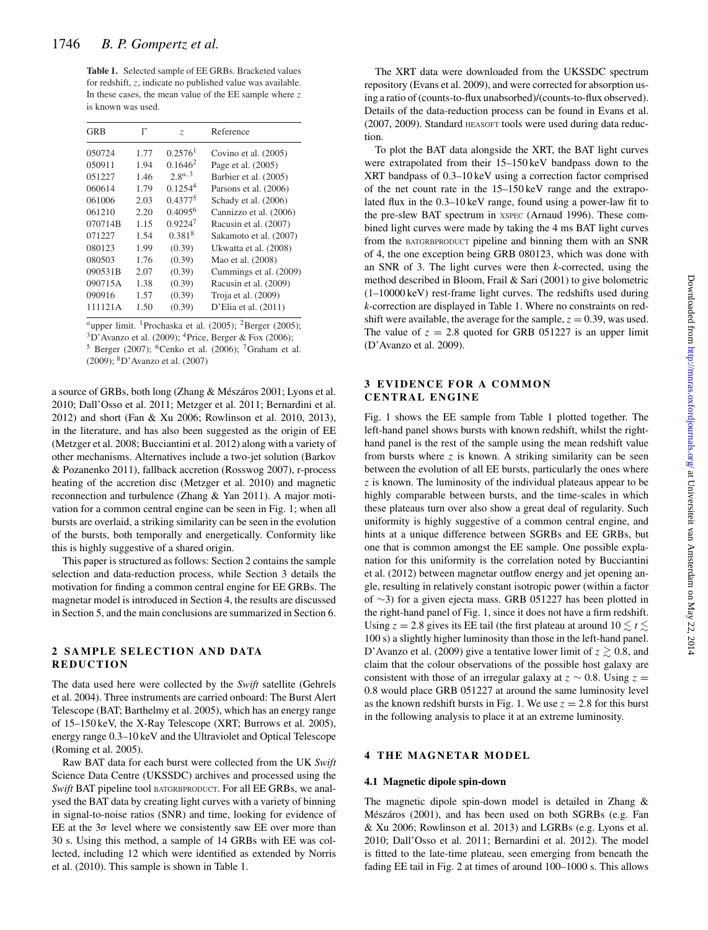**Table 1.** Selected sample of EE GRBs. Bracketed values for redshift, z, indicate no published value was available. In these cases, the mean value of the EE sample where  $z$ is known was used.

| <b>GRB</b> | Г    | Z.                    | Reference              |
|------------|------|-----------------------|------------------------|
| 050724     | 1.77 | $0.2576$ <sup>1</sup> | Covino et al. (2005)   |
| 050911     | 1.94 | $0.1646^2$            | Page et al. (2005)     |
| 051227     | 1.46 | $2.8^{a, 3}$          | Barbier et al. (2005)  |
| 060614     | 1.79 | 0.1254 <sup>4</sup>   | Parsons et al. (2006)  |
| 061006     | 2.03 | $0.4377^{5}$          | Schady et al. (2006)   |
| 061210     | 2.20 | $0.4095^{6}$          | Cannizzo et al. (2006) |
| 070714B    | 1.15 | 0.92247               | Racusin et al. (2007)  |
| 071227     | 1.54 | 0.381 <sup>8</sup>    | Sakamoto et al. (2007) |
| 080123     | 1.99 | (0.39)                | Ukwatta et al. (2008)  |
| 080503     | 1.76 | (0.39)                | Mao et al. (2008)      |
| 090531B    | 2.07 | (0.39)                | Cummings et al. (2009) |
| 090715A    | 1.38 | (0.39)                | Racusin et al. (2009)  |
| 090916     | 1.57 | (0.39)                | Troja et al. (2009)    |
| 111121A    | 1.50 | (0.39)                | D'Elia et al. (2011)   |

<sup>*a*</sup>upper limit. <sup>1</sup>Prochaska et al. (2005); <sup>2</sup>Berger (2005);

 $3D'$ Avanzo et al. (2009); <sup>4</sup>Price, Berger & Fox (2006);

 $5$  Berger (2007); <sup>6</sup>Cenko et al. (2006); <sup>7</sup>Graham et al. (2009); 8D'Avanzo et al. (2007)

a source of GRBs, both long (Zhang & Mészáros 2001; Lyons et al. 2010; Dall'Osso et al. 2011; Metzger et al. 2011; Bernardini et al. 2012) and short (Fan & Xu 2006; Rowlinson et al. 2010, 2013), in the literature, and has also been suggested as the origin of EE (Metzger et al. 2008; Bucciantini et al. 2012) along with a variety of other mechanisms. Alternatives include a two-jet solution (Barkov & Pozanenko 2011), fallback accretion (Rosswog 2007), r-process heating of the accretion disc (Metzger et al. 2010) and magnetic reconnection and turbulence (Zhang & Yan 2011). A major motivation for a common central engine can be seen in Fig. 1; when all bursts are overlaid, a striking similarity can be seen in the evolution of the bursts, both temporally and energetically. Conformity like this is highly suggestive of a shared origin.

This paper is structured as follows: Section 2 contains the sample selection and data-reduction process, while Section 3 details the motivation for finding a common central engine for EE GRBs. The magnetar model is introduced in Section 4, the results are discussed in Section 5, and the main conclusions are summarized in Section 6.

### **2 SAMPLE SELECTION AND DATA REDUCTION**

The data used here were collected by the *Swift* satellite (Gehrels et al. 2004). Three instruments are carried onboard: The Burst Alert Telescope (BAT; Barthelmy et al. 2005), which has an energy range of 15–150 keV, the X-Ray Telescope (XRT; Burrows et al. 2005), energy range 0.3–10 keV and the Ultraviolet and Optical Telescope (Roming et al. 2005).

Raw BAT data for each burst were collected from the UK *Swift* Science Data Centre (UKSSDC) archives and processed using the *Swift* BAT pipeline tool BATGRBPRODUCT. For all EE GRBs, we analysed the BAT data by creating light curves with a variety of binning in signal-to-noise ratios (SNR) and time, looking for evidence of EE at the  $3\sigma$  level where we consistently saw EE over more than 30 s. Using this method, a sample of 14 GRBs with EE was collected, including 12 which were identified as extended by Norris et al. (2010). This sample is shown in Table 1.

The XRT data were downloaded from the UKSSDC spectrum repository (Evans et al. 2009), and were corrected for absorption using a ratio of (counts-to-flux unabsorbed)/(counts-to-flux observed). Details of the data-reduction process can be found in Evans et al. (2007, 2009). Standard HEASOFT tools were used during data reduction.

To plot the BAT data alongside the XRT, the BAT light curves were extrapolated from their 15–150 keV bandpass down to the XRT bandpass of 0.3–10 keV using a correction factor comprised of the net count rate in the 15–150 keV range and the extrapolated flux in the 0.3–10 keV range, found using a power-law fit to the pre-slew BAT spectrum in XSPEC (Arnaud 1996). These combined light curves were made by taking the 4 ms BAT light curves from the BATGRBPRODUCT pipeline and binning them with an SNR of 4, the one exception being GRB 080123, which was done with an SNR of 3. The light curves were then *k*-corrected, using the method described in Bloom, Frail & Sari (2001) to give bolometric (1–10000 keV) rest-frame light curves. The redshifts used during *k*-correction are displayed in Table 1. Where no constraints on redshift were available, the average for the sample,  $z = 0.39$ , was used. The value of  $z = 2.8$  quoted for GRB 051227 is an upper limit (D'Avanzo et al. 2009).

### **3 EVIDENCE FOR A COMMON CENTRAL ENGINE**

Fig. 1 shows the EE sample from Table 1 plotted together. The left-hand panel shows bursts with known redshift, whilst the righthand panel is the rest of the sample using the mean redshift value from bursts where  $z$  is known. A striking similarity can be seen between the evolution of all EE bursts, particularly the ones where z is known. The luminosity of the individual plateaus appear to be highly comparable between bursts, and the time-scales in which these plateaus turn over also show a great deal of regularity. Such uniformity is highly suggestive of a common central engine, and hints at a unique difference between SGRBs and EE GRBs, but one that is common amongst the EE sample. One possible explanation for this uniformity is the correlation noted by Bucciantini et al. (2012) between magnetar outflow energy and jet opening angle, resulting in relatively constant isotropic power (within a factor of ∼3) for a given ejecta mass. GRB 051227 has been plotted in the right-hand panel of Fig. 1, since it does not have a firm redshift. Using  $z = 2.8$  gives its EE tail (the first plateau at around  $10 \lesssim t \lesssim$ 100 s) a slightly higher luminosity than those in the left-hand panel. D'Avanzo et al. (2009) give a tentative lower limit of  $z \gtrsim 0.8$ , and claim that the colour observations of the possible host galaxy are consistent with those of an irregular galaxy at  $z \sim 0.8$ . Using  $z =$ 0.8 would place GRB 051227 at around the same luminosity level as the known redshift bursts in Fig. 1. We use  $z = 2.8$  for this burst in the following analysis to place it at an extreme luminosity.

#### **4 THE MAGNETAR MODEL**

#### **4.1 Magnetic dipole spin-down**

The magnetic dipole spin-down model is detailed in Zhang & Mészáros (2001), and has been used on both SGRBs (e.g. Fan & Xu 2006; Rowlinson et al. 2013) and LGRBs (e.g. Lyons et al. 2010; Dall'Osso et al. 2011; Bernardini et al. 2012). The model is fitted to the late-time plateau, seen emerging from beneath the fading EE tail in Fig. 2 at times of around 100–1000 s. This allows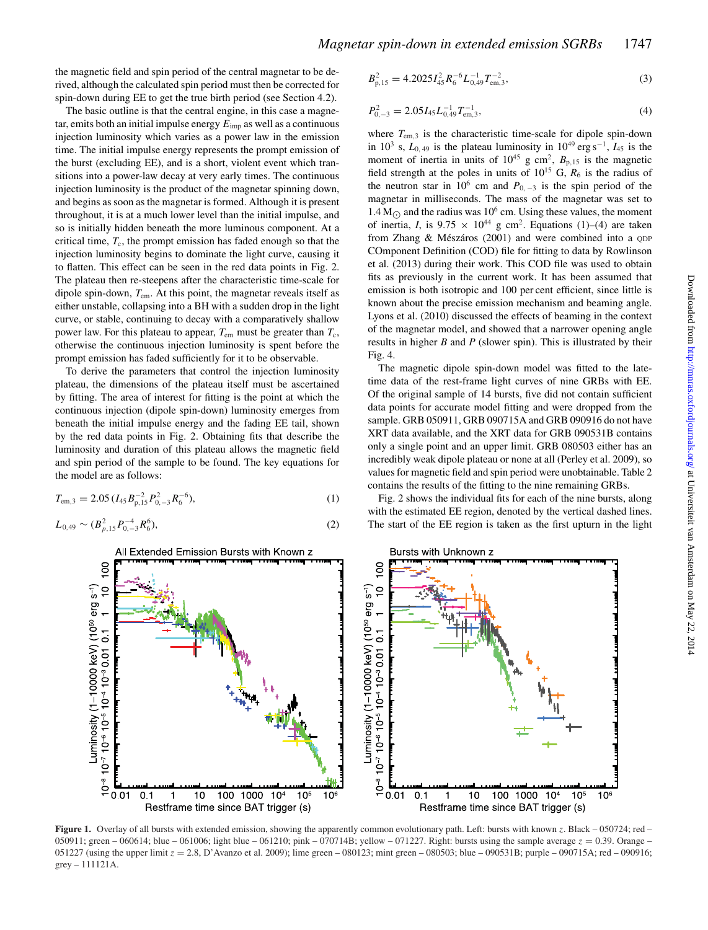the magnetic field and spin period of the central magnetar to be derived, although the calculated spin period must then be corrected for spin-down during EE to get the true birth period (see Section 4.2).

The basic outline is that the central engine, in this case a magnetar, emits both an initial impulse energy  $E_{\text{imp}}$  as well as a continuous injection luminosity which varies as a power law in the emission time. The initial impulse energy represents the prompt emission of the burst (excluding EE), and is a short, violent event which transitions into a power-law decay at very early times. The continuous injection luminosity is the product of the magnetar spinning down, and begins as soon as the magnetar is formed. Although it is present throughout, it is at a much lower level than the initial impulse, and so is initially hidden beneath the more luminous component. At a critical time,  $T_c$ , the prompt emission has faded enough so that the injection luminosity begins to dominate the light curve, causing it to flatten. This effect can be seen in the red data points in Fig. 2. The plateau then re-steepens after the characteristic time-scale for dipole spin-down,  $T_{\text{em}}$ . At this point, the magnetar reveals itself as either unstable, collapsing into a BH with a sudden drop in the light curve, or stable, continuing to decay with a comparatively shallow power law. For this plateau to appear,  $T_{\text{em}}$  must be greater than  $T_{\text{c}}$ , otherwise the continuous injection luminosity is spent before the prompt emission has faded sufficiently for it to be observable.

To derive the parameters that control the injection luminosity plateau, the dimensions of the plateau itself must be ascertained by fitting. The area of interest for fitting is the point at which the continuous injection (dipole spin-down) luminosity emerges from beneath the initial impulse energy and the fading EE tail, shown by the red data points in Fig. 2. Obtaining fits that describe the luminosity and duration of this plateau allows the magnetic field and spin period of the sample to be found. The key equations for the model are as follows:

$$
T_{\rm em,3} = 2.05 \, (I_{45} B_{\rm p,15}^{-2} P_{0,-3}^2 R_6^{-6}), \tag{1}
$$

$$
L_{0,49} \sim (B_{p,15}^2 P_{0,-3}^{-4} R_6^6),\tag{2}
$$

$$
B_{p,15}^2 = 4.2025 I_{45}^2 R_6^{-6} L_{0,49}^{-1} T_{\text{em},3}^{-2},\tag{3}
$$

$$
P_{0,-3}^2 = 2.05 I_{45} L_{0,49}^{-1} T_{\text{em},3}^{-1},\tag{4}
$$

where  $T_{\text{em,3}}$  is the characteristic time-scale for dipole spin-down in  $10^3$  s,  $L_{0,49}$  is the plateau luminosity in  $10^{49}$  erg s<sup>-1</sup>,  $I_{45}$  is the moment of inertia in units of  $10^{45}$  g cm<sup>2</sup>,  $B_{p,15}$  is the magnetic field strength at the poles in units of  $10^{15}$  G,  $R_6$  is the radius of the neutron star in 10<sup>6</sup> cm and  $P_{0,-3}$  is the spin period of the magnetar in milliseconds. The mass of the magnetar was set to  $1.4 M_{\odot}$  and the radius was 10<sup>6</sup> cm. Using these values, the moment of inertia, *I*, is  $9.75 \times 10^{44}$  g cm<sup>2</sup>. Equations (1)–(4) are taken from Zhang  $& M$ észáros (2001) and were combined into a  $QDP$ COmponent Definition (COD) file for fitting to data by Rowlinson et al. (2013) during their work. This COD file was used to obtain fits as previously in the current work. It has been assumed that emission is both isotropic and 100 per cent efficient, since little is known about the precise emission mechanism and beaming angle. Lyons et al. (2010) discussed the effects of beaming in the context of the magnetar model, and showed that a narrower opening angle results in higher *B* and *P* (slower spin). This is illustrated by their Fig. 4.

The magnetic dipole spin-down model was fitted to the latetime data of the rest-frame light curves of nine GRBs with EE. Of the original sample of 14 bursts, five did not contain sufficient data points for accurate model fitting and were dropped from the sample. GRB 050911, GRB 090715A and GRB 090916 do not have XRT data available, and the XRT data for GRB 090531B contains only a single point and an upper limit. GRB 080503 either has an incredibly weak dipole plateau or none at all (Perley et al. 2009), so values for magnetic field and spin period were unobtainable. Table 2 contains the results of the fitting to the nine remaining GRBs.

Fig. 2 shows the individual fits for each of the nine bursts, along with the estimated EE region, denoted by the vertical dashed lines. The start of the EE region is taken as the first upturn in the light





**Figure 1.** Overlay of all bursts with extended emission, showing the apparently common evolutionary path. Left: bursts with known z. Black – 050724; red – 050911; green – 060614; blue – 061006; light blue – 061210; pink – 070714B; yellow – 071227. Right: bursts using the sample average  $z = 0.39$ . Orange – 051227 (using the upper limit  $z = 2.8$ , D'Avanzo et al. 2009); lime green – 080123; mint green – 080503; blue – 090531B; purple – 090715A; red – 090916; grey – 111121A.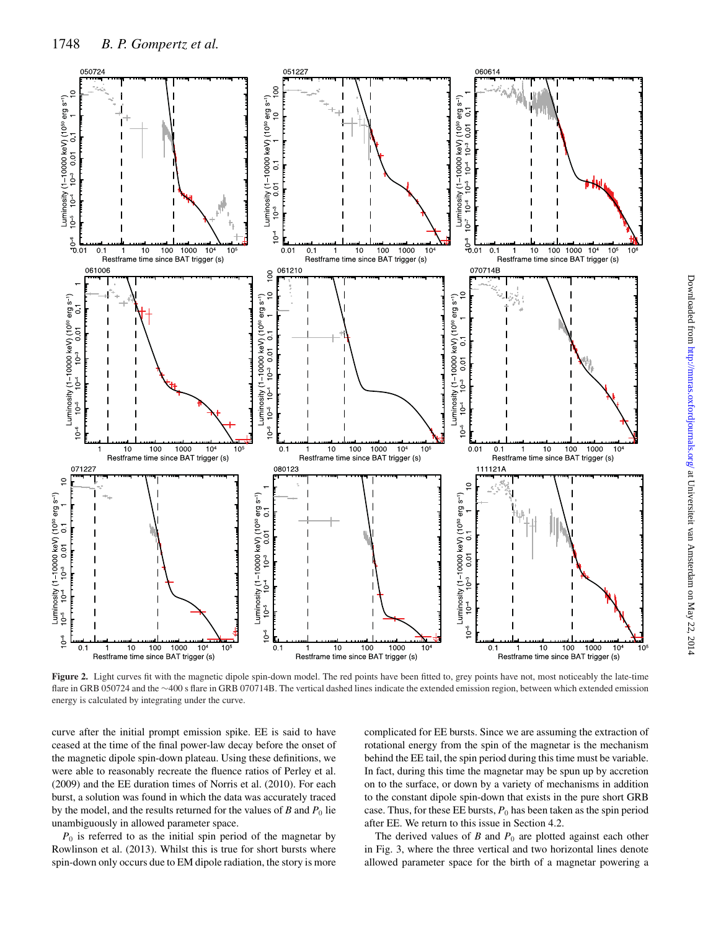

**Figure 2.** Light curves fit with the magnetic dipole spin-down model. The red points have been fitted to, grey points have not, most noticeably the late-time flare in GRB 050724 and the ∼400 s flare in GRB 070714B. The vertical dashed lines indicate the extended emission region, between which extended emission energy is calculated by integrating under the curve.

curve after the initial prompt emission spike. EE is said to have ceased at the time of the final power-law decay before the onset of the magnetic dipole spin-down plateau. Using these definitions, we were able to reasonably recreate the fluence ratios of Perley et al. (2009) and the EE duration times of Norris et al. (2010). For each burst, a solution was found in which the data was accurately traced by the model, and the results returned for the values of  $B$  and  $P_0$  lie unambiguously in allowed parameter space.

 $P_0$  is referred to as the initial spin period of the magnetar by Rowlinson et al. (2013). Whilst this is true for short bursts where spin-down only occurs due to EM dipole radiation, the story is more complicated for EE bursts. Since we are assuming the extraction of rotational energy from the spin of the magnetar is the mechanism behind the EE tail, the spin period during this time must be variable. In fact, during this time the magnetar may be spun up by accretion on to the surface, or down by a variety of mechanisms in addition to the constant dipole spin-down that exists in the pure short GRB case. Thus, for these EE bursts,  $P_0$  has been taken as the spin period after EE. We return to this issue in Section 4.2.

The derived values of  $B$  and  $P_0$  are plotted against each other in Fig. 3, where the three vertical and two horizontal lines denote allowed parameter space for the birth of a magnetar powering a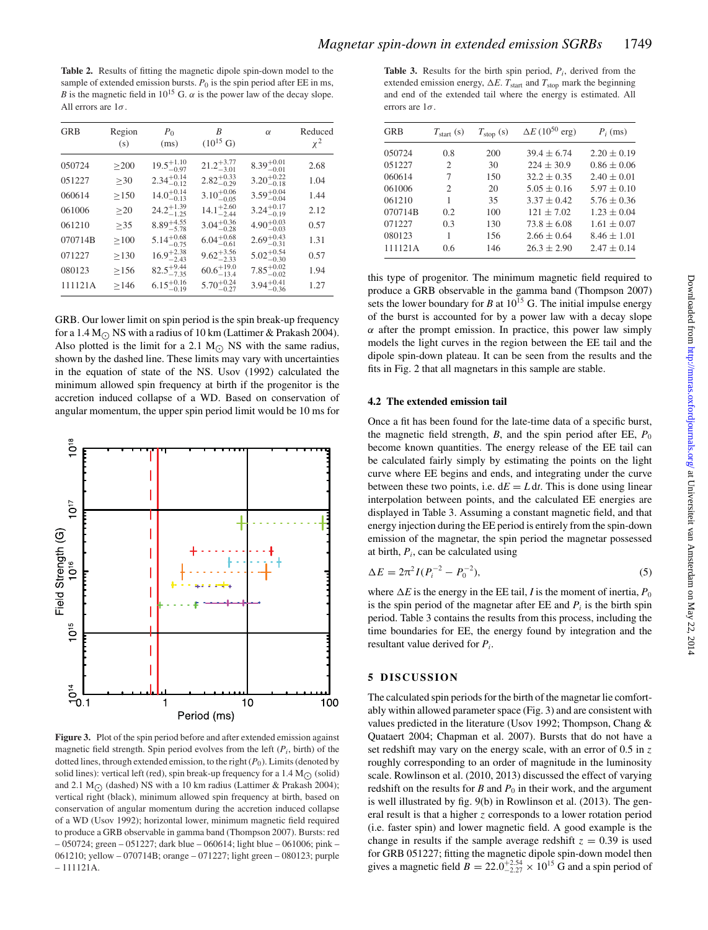**Table 2.** Results of fitting the magnetic dipole spin-down model to the sample of extended emission bursts.  $P_0$  is the spin period after EE in ms, *B* is the magnetic field in  $10^{15}$  G.  $\alpha$  is the power law of the decay slope. All errors are  $1\sigma$ .

| <b>GRB</b> | Region<br>(s) | $P_0$<br>(ms)          | B<br>$(10^{15} \text{ G})$ | $\alpha$               | Reduced<br>$\chi^2$ |
|------------|---------------|------------------------|----------------------------|------------------------|---------------------|
| 050724     | >200          | $19.5^{+1.10}_{-0.97}$ | $21.2^{+3.77}_{-3.01}$     | $8.39^{+0.01}_{-0.01}$ | 2.68                |
| 051227     | $\geq 30$     | $2.34_{-0.12}^{+0.14}$ | $2.82^{+0.33}_{-0.29}$     | $3.20^{+0.22}_{-0.18}$ | 1.04                |
| 060614     | >150          | $14.0^{+0.14}_{-0.13}$ | $3.10^{+0.06}_{-0.05}$     | $3.59^{+0.04}_{-0.04}$ | 1.44                |
| 061006     | $\geq$ 20     | $24.2^{+1.39}_{-1.25}$ | $14.1_{-2.44}^{+2.60}$     | $3.24^{+0.17}_{-0.19}$ | 2.12                |
| 061210     | >35           | $8.89^{+4.55}_{-5.78}$ | $3.04_{-0.28}^{+0.36}$     | $4.90^{+0.03}_{-0.03}$ | 0.57                |
| 070714B    | $\geq 100$    | $5.14^{+0.68}_{-0.75}$ | $6.04_{-0.61}^{+0.68}$     | $2.69^{+0.43}_{-0.31}$ | 1.31                |
| 071227     | $\geq$ 130    | $16.9^{+2.38}_{-2.43}$ | $9.62_{-2.33}^{+3.56}$     | $5.02^{+0.54}_{-0.30}$ | 0.57                |
| 080123     | >156          | $82.5^{+9.44}_{-7.35}$ | $60.6^{+19.0}_{-13.4}$     | $7.85^{+0.02}_{-0.02}$ | 1.94                |
| 111121A    | >146          | $6.15^{+0.16}_{-0.19}$ | $5.70^{+0.24}_{-0.27}$     | $3.94^{+0.41}_{-0.36}$ | 1.27                |

GRB. Our lower limit on spin period is the spin break-up frequency for a 1.4 M<sub> $\odot$ </sub> NS with a radius of 10 km (Lattimer & Prakash 2004). Also plotted is the limit for a 2.1  $M<sub>o</sub>$  NS with the same radius, shown by the dashed line. These limits may vary with uncertainties in the equation of state of the NS. Usov (1992) calculated the minimum allowed spin frequency at birth if the progenitor is the accretion induced collapse of a WD. Based on conservation of angular momentum, the upper spin period limit would be 10 ms for



**Figure 3.** Plot of the spin period before and after extended emission against magnetic field strength. Spin period evolves from the left (*Pi*, birth) of the dotted lines, through extended emission, to the right (*P*<sub>0</sub>). Limits (denoted by solid lines): vertical left (red), spin break-up frequency for a 1.4  $M_{\odot}$  (solid) and 2.1 M<sub>O</sub> (dashed) NS with a 10 km radius (Lattimer & Prakash 2004); vertical right (black), minimum allowed spin frequency at birth, based on conservation of angular momentum during the accretion induced collapse of a WD (Usov 1992); horizontal lower, minimum magnetic field required to produce a GRB observable in gamma band (Thompson 2007). Bursts: red – 050724; green – 051227; dark blue – 060614; light blue – 061006; pink – 061210; yellow – 070714B; orange – 071227; light green – 080123; purple – 111121A.

**Table 3.** Results for the birth spin period,  $P_i$ , derived from the extended emission energy,  $\Delta E$ .  $T_{\text{start}}$  and  $T_{\text{stop}}$  mark the beginning and end of the extended tail where the energy is estimated. All errors are  $1\sigma$ 

| <b>GRB</b> | $T_{\text{start}}$ (s) | $T_{\text{stop}}(\text{s})$ | $\Delta E (10^{50} \text{ erg})$ | $P_i$ (ms)      |
|------------|------------------------|-----------------------------|----------------------------------|-----------------|
| 050724     | 0.8                    | 200                         | $39.4 \pm 6.74$                  | $2.20 \pm 0.19$ |
| 051227     | 2                      | 30                          | $224 \pm 30.9$                   | $0.86 \pm 0.06$ |
| 060614     | 7                      | 150                         | $32.2 \pm 0.35$                  | $2.40 \pm 0.01$ |
| 061006     | $\mathfrak{D}$         | 20                          | $5.05 \pm 0.16$                  | $5.97 \pm 0.10$ |
| 061210     | 1                      | 35                          | $3.37 \pm 0.42$                  | $5.76 \pm 0.36$ |
| 070714B    | 0.2                    | 100                         | $121 + 7.02$                     | $1.23 \pm 0.04$ |
| 071227     | 0.3                    | 130                         | $73.8 \pm 6.08$                  | $1.61 \pm 0.07$ |
| 080123     | 1                      | 156                         | $2.66 \pm 0.64$                  | $8.46 \pm 1.01$ |
| 111121A    | 0.6                    | 146                         | $26.3 + 2.90$                    | $2.47 \pm 0.14$ |

this type of progenitor. The minimum magnetic field required to produce a GRB observable in the gamma band (Thompson 2007) sets the lower boundary for *B* at  $10^{15}$  G. The initial impulse energy of the burst is accounted for by a power law with a decay slope  $\alpha$  after the prompt emission. In practice, this power law simply models the light curves in the region between the EE tail and the dipole spin-down plateau. It can be seen from the results and the fits in Fig. 2 that all magnetars in this sample are stable.

#### **4.2 The extended emission tail**

Once a fit has been found for the late-time data of a specific burst, the magnetic field strength,  $B$ , and the spin period after EE,  $P_0$ become known quantities. The energy release of the EE tail can be calculated fairly simply by estimating the points on the light curve where EE begins and ends, and integrating under the curve between these two points, i.e.  $dE = L dt$ . This is done using linear interpolation between points, and the calculated EE energies are displayed in Table 3. Assuming a constant magnetic field, and that energy injection during the EE period is entirely from the spin-down emission of the magnetar, the spin period the magnetar possessed at birth, *Pi*, can be calculated using

$$
\Delta E = 2\pi^2 I (P_i^{-2} - P_0^{-2}),\tag{5}
$$

where  $\Delta E$  is the energy in the EE tail, *I* is the moment of inertia,  $P_0$ is the spin period of the magnetar after  $EE$  and  $P_i$  is the birth spin period. Table 3 contains the results from this process, including the time boundaries for EE, the energy found by integration and the resultant value derived for *Pi*.

#### **5 DISCUSSION**

The calculated spin periods for the birth of the magnetar lie comfortably within allowed parameter space (Fig. 3) and are consistent with values predicted in the literature (Usov 1992; Thompson, Chang & Quataert 2004; Chapman et al. 2007). Bursts that do not have a set redshift may vary on the energy scale, with an error of  $0.5$  in z roughly corresponding to an order of magnitude in the luminosity scale. Rowlinson et al. (2010, 2013) discussed the effect of varying redshift on the results for  $B$  and  $P_0$  in their work, and the argument is well illustrated by fig. 9(b) in Rowlinson et al. (2013). The general result is that a higher z corresponds to a lower rotation period (i.e. faster spin) and lower magnetic field. A good example is the change in results if the sample average redshift  $z = 0.39$  is used for GRB 051227; fitting the magnetic dipole spin-down model then gives a magnetic field  $B = 22.0^{+2.54}_{-2.27} \times 10^{15}$  G and a spin period of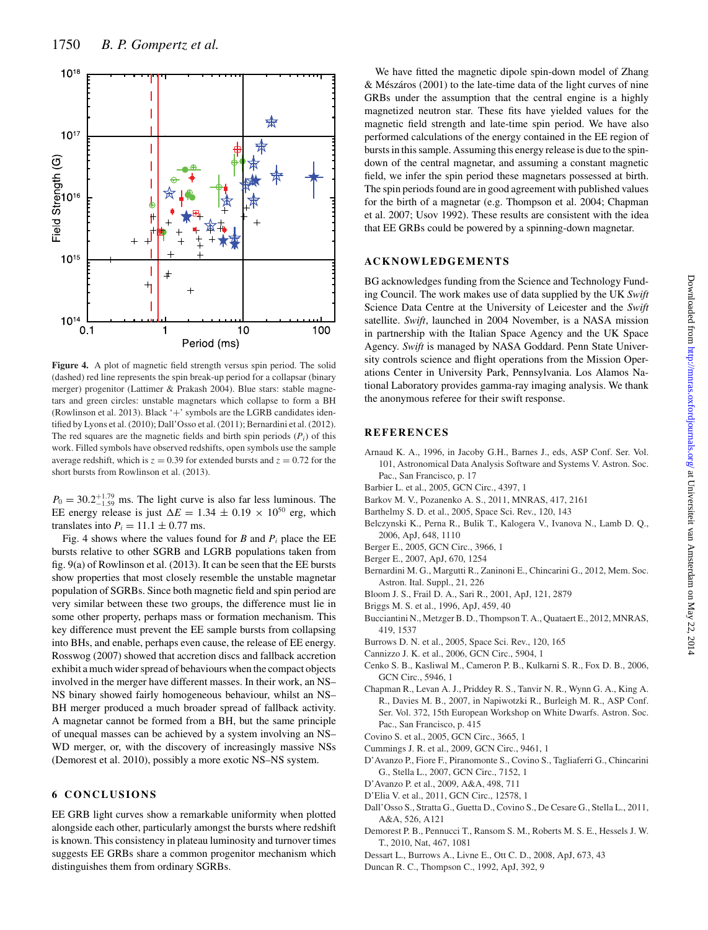

**Figure 4.** A plot of magnetic field strength versus spin period. The solid (dashed) red line represents the spin break-up period for a collapsar (binary merger) progenitor (Lattimer & Prakash 2004). Blue stars: stable magnetars and green circles: unstable magnetars which collapse to form a BH (Rowlinson et al. 2013). Black  $+$ ' symbols are the LGRB candidates identified by Lyons et al. (2010); Dall'Osso et al. (2011); Bernardini et al. (2012). The red squares are the magnetic fields and birth spin periods  $(P_i)$  of this work. Filled symbols have observed redshifts, open symbols use the sample average redshift, which is  $z = 0.39$  for extended bursts and  $z = 0.72$  for the short bursts from Rowlinson et al. (2013).

 $P_0 = 30.2^{+1.79}_{-1.59}$  ms. The light curve is also far less luminous. The EE energy release is just  $\Delta E = 1.34 \pm 0.19 \times 10^{50}$  erg, which translates into  $P_i = 11.1 \pm 0.77$  ms.

Fig. 4 shows where the values found for *B* and  $P_i$  place the EE bursts relative to other SGRB and LGRB populations taken from fig. 9(a) of Rowlinson et al. (2013). It can be seen that the EE bursts show properties that most closely resemble the unstable magnetar population of SGRBs. Since both magnetic field and spin period are very similar between these two groups, the difference must lie in some other property, perhaps mass or formation mechanism. This key difference must prevent the EE sample bursts from collapsing into BHs, and enable, perhaps even cause, the release of EE energy. Rosswog (2007) showed that accretion discs and fallback accretion exhibit a much wider spread of behaviours when the compact objects involved in the merger have different masses. In their work, an NS– NS binary showed fairly homogeneous behaviour, whilst an NS– BH merger produced a much broader spread of fallback activity. A magnetar cannot be formed from a BH, but the same principle of unequal masses can be achieved by a system involving an NS– WD merger, or, with the discovery of increasingly massive NSs (Demorest et al. 2010), possibly a more exotic NS–NS system.

### **6 CONCLUSIONS**

EE GRB light curves show a remarkable uniformity when plotted alongside each other, particularly amongst the bursts where redshift is known. This consistency in plateau luminosity and turnover times suggests EE GRBs share a common progenitor mechanism which distinguishes them from ordinary SGRBs.

We have fitted the magnetic dipole spin-down model of Zhang  $& M$ észáros (2001) to the late-time data of the light curves of nine GRBs under the assumption that the central engine is a highly magnetized neutron star. These fits have yielded values for the magnetic field strength and late-time spin period. We have also performed calculations of the energy contained in the EE region of bursts in this sample. Assuming this energy release is due to the spindown of the central magnetar, and assuming a constant magnetic field, we infer the spin period these magnetars possessed at birth. The spin periods found are in good agreement with published values for the birth of a magnetar (e.g. Thompson et al. 2004; Chapman et al. 2007; Usov 1992). These results are consistent with the idea that EE GRBs could be powered by a spinning-down magnetar.

## **ACKNOWLEDGEMENTS**

BG acknowledges funding from the Science and Technology Funding Council. The work makes use of data supplied by the UK *Swift* Science Data Centre at the University of Leicester and the *Swift* satellite. *Swift*, launched in 2004 November, is a NASA mission in partnership with the Italian Space Agency and the UK Space Agency. *Swift* is managed by NASA Goddard. Penn State University controls science and flight operations from the Mission Operations Center in University Park, Pennsylvania. Los Alamos National Laboratory provides gamma-ray imaging analysis. We thank the anonymous referee for their swift response.

#### **REFERENCES**

- Arnaud K. A., 1996, in Jacoby G.H., Barnes J., eds, ASP Conf. Ser. Vol. 101, Astronomical Data Analysis Software and Systems V. Astron. Soc. Pac., San Francisco, p. 17
- Barbier L. et al., 2005, GCN Circ., 4397, 1
- Barkov M. V., Pozanenko A. S., 2011, MNRAS, 417, 2161
- Barthelmy S. D. et al., 2005, Space Sci. Rev., 120, 143
- Belczynski K., Perna R., Bulik T., Kalogera V., Ivanova N., Lamb D. Q., 2006, ApJ, 648, 1110
- Berger E., 2005, GCN Circ., 3966, 1
- Berger E., 2007, ApJ, 670, 1254
- Bernardini M. G., Margutti R., Zaninoni E., Chincarini G., 2012, Mem. Soc. Astron. Ital. Suppl., 21, 226
- Bloom J. S., Frail D. A., Sari R., 2001, ApJ, 121, 2879
- Briggs M. S. et al., 1996, ApJ, 459, 40
- Bucciantini N., Metzger B. D., Thompson T. A., Quataert E., 2012, MNRAS, 419, 1537
- Burrows D. N. et al., 2005, Space Sci. Rev., 120, 165
- Cannizzo J. K. et al., 2006, GCN Circ., 5904, 1
- Cenko S. B., Kasliwal M., Cameron P. B., Kulkarni S. R., Fox D. B., 2006, GCN Circ., 5946, 1
- Chapman R., Levan A. J., Priddey R. S., Tanvir N. R., Wynn G. A., King A. R., Davies M. B., 2007, in Napiwotzki R., Burleigh M. R., ASP Conf. Ser. Vol. 372, 15th European Workshop on White Dwarfs. Astron. Soc. Pac., San Francisco, p. 415
- Covino S. et al., 2005, GCN Circ., 3665, 1
- Cummings J. R. et al., 2009, GCN Circ., 9461, 1
- D'Avanzo P., Fiore F., Piranomonte S., Covino S., Tagliaferri G., Chincarini G., Stella L., 2007, GCN Circ., 7152, 1
- D'Avanzo P. et al., 2009, A&A, 498, 711
- D'Elia V. et al., 2011, GCN Circ., 12578, 1
- Dall'Osso S., Stratta G., Guetta D., Covino S., De Cesare G., Stella L., 2011, A&A, 526, A121
- Demorest P. B., Pennucci T., Ransom S. M., Roberts M. S. E., Hessels J. W. T., 2010, Nat, 467, 1081
- Dessart L., Burrows A., Livne E., Ott C. D., 2008, ApJ, 673, 43
- Duncan R. C., Thompson C., 1992, ApJ, 392, 9